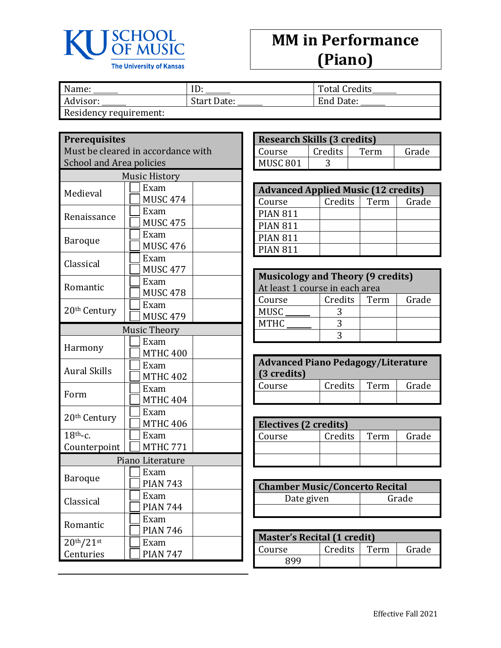

## **MM in Performance (Piano)**

| Name:                  | ID:         | <b>Total Credits</b> |
|------------------------|-------------|----------------------|
| Advisor:               | Start Date: | End Date:            |
| Residency requirement: |             |                      |

**Prerequisites**

Must be cleared in accordance with School and Area policies

| <b>Music History</b>                            |                         |  |  |
|-------------------------------------------------|-------------------------|--|--|
| Medieval                                        | Exam<br><b>MUSC 474</b> |  |  |
| Renaissance                                     | Exam<br><b>MUSC 475</b> |  |  |
| <b>Baroque</b>                                  | Exam<br><b>MUSC 476</b> |  |  |
| Classical                                       | Exam<br><b>MUSC 477</b> |  |  |
| Romantic                                        | Exam<br><b>MUSC 478</b> |  |  |
| 20 <sup>th</sup> Century                        | Exam<br><b>MUSC 479</b> |  |  |
|                                                 | <b>Music Theory</b>     |  |  |
| Harmony                                         | Exam<br><b>MTHC 400</b> |  |  |
| <b>Aural Skills</b>                             | Exam<br><b>MTHC 402</b> |  |  |
| Form                                            | Exam<br><b>MTHC 404</b> |  |  |
| 20 <sup>th</sup> Century                        | Exam<br><b>MTHC 406</b> |  |  |
| $18th$ -c.<br>Counterpoint                      | Exam<br><b>MTHC 771</b> |  |  |
|                                                 | Piano Literature        |  |  |
| <b>Baroque</b>                                  | Exam<br><b>PIAN 743</b> |  |  |
| Classical                                       | Exam<br><b>PIAN 744</b> |  |  |
| Romantic                                        | Exam<br><b>PIAN 746</b> |  |  |
| 20 <sup>th</sup> /21 <sup>st</sup><br>Centuries | Exam<br><b>PIAN 747</b> |  |  |

| <b>Research Skills (3 credits)</b> |         |      |       |
|------------------------------------|---------|------|-------|
| Course                             | Credits | Term | Grade |
| MUSC <sub>801</sub>                |         |      |       |

| <b>Advanced Applied Music (12 credits)</b> |         |      |       |
|--------------------------------------------|---------|------|-------|
| Course                                     | Credits | Term | Grade |
| <b>PIAN 811</b>                            |         |      |       |
| <b>PIAN 811</b>                            |         |      |       |
| <b>PIAN 811</b>                            |         |      |       |
| <b>PIAN 811</b>                            |         |      |       |

| <b>Musicology and Theory (9 credits)</b><br>At least 1 course in each area |  |  |  |
|----------------------------------------------------------------------------|--|--|--|
| Credits  <br>Grade<br>Term<br>Course                                       |  |  |  |
| <b>MUSC</b>                                                                |  |  |  |
| <b>MTHC</b>                                                                |  |  |  |
|                                                                            |  |  |  |

| <b>Advanced Piano Pedagogy/Literature</b><br>(3 credits) |         |      |       |
|----------------------------------------------------------|---------|------|-------|
| Course                                                   | Credits | Term | Grade |
|                                                          |         |      |       |

| Electives (2 credits) |         |      |       |
|-----------------------|---------|------|-------|
| Course                | Credits | Term | Grade |
|                       |         |      |       |
|                       |         |      |       |

| <b>Chamber Music/Concerto Recital</b> |       |  |
|---------------------------------------|-------|--|
| Date given                            | Grade |  |
|                                       |       |  |

| <b>Master's Recital (1 credit)</b> |              |  |       |
|------------------------------------|--------------|--|-------|
| Course                             | Credits Term |  | Grade |
| RQQ                                |              |  |       |